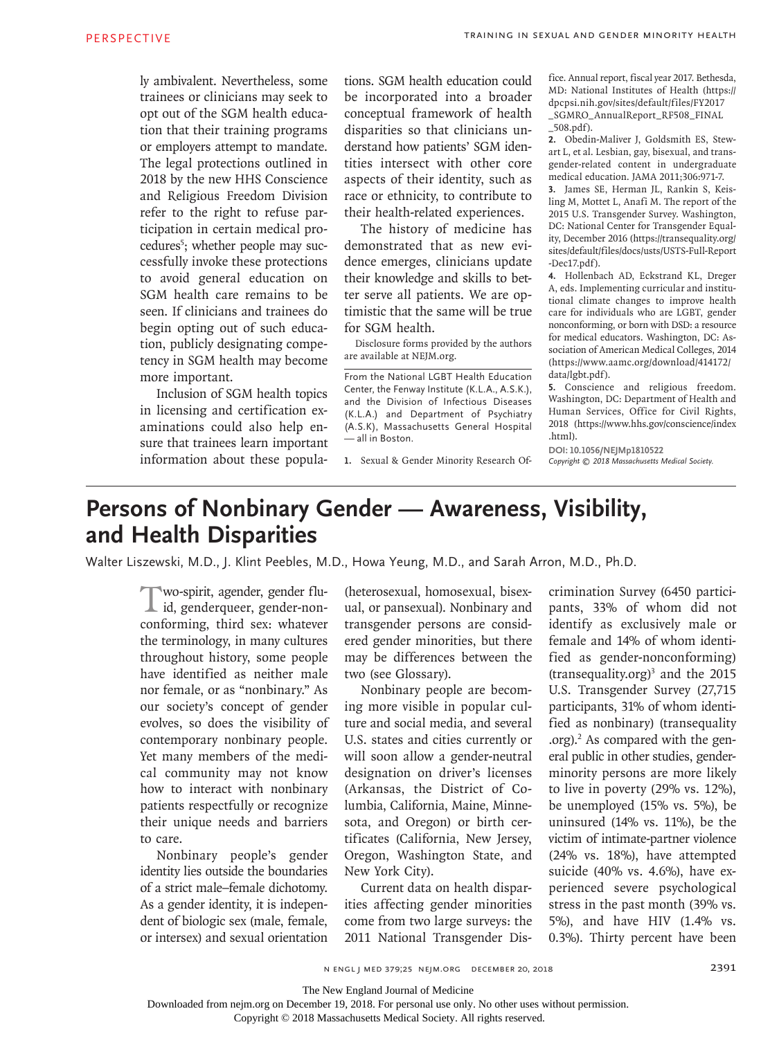ly ambivalent. Nevertheless, some trainees or clinicians may seek to opt out of the SGM health education that their training programs or employers attempt to mandate. The legal protections outlined in 2018 by the new HHS Conscience and Religious Freedom Division refer to the right to refuse participation in certain medical procedures<sup>5</sup>; whether people may successfully invoke these protections to avoid general education on SGM health care remains to be seen. If clinicians and trainees do begin opting out of such education, publicly designating competency in SGM health may become more important.

Inclusion of SGM health topics in licensing and certification examinations could also help ensure that trainees learn important information about these popula-

tions. SGM health education could be incorporated into a broader conceptual framework of health disparities so that clinicians understand how patients' SGM identities intersect with other core aspects of their identity, such as race or ethnicity, to contribute to their health-related experiences.

The history of medicine has demonstrated that as new evidence emerges, clinicians update their knowledge and skills to better serve all patients. We are optimistic that the same will be true for SGM health.

Disclosure forms provided by the authors are available at NEJM.org.

From the National LGBT Health Education Center, the Fenway Institute (K.L.A., A.S.K.), and the Division of Infectious Diseases (K.L.A.) and Department of Psychiatry (A.S.K), Massachusetts General Hospital — all in Boston.

**1.** Sexual & Gender Minority Research Of-

fice. Annual report, fiscal year 2017. Bethesda, MD: National Institutes of Health (https:// dpcpsi.nih.gov/sites/default/files/FY2017 \_SGMRO\_AnnualReport\_RF508\_FINAL \_508.pdf).

**2.** Obedin-Maliver J, Goldsmith ES, Stewart L, et al. Lesbian, gay, bisexual, and transgender-related content in undergraduate medical education. JAMA 2011;306:971-7.

**3.** James SE, Herman JL, Rankin S, Keisling M, Mottet L, Anafi M. The report of the 2015 U.S. Transgender Survey. Washington, DC: National Center for Transgender Equality, December 2016 (https://transequality.org/ sites/default/files/docs/usts/USTS-Full-Report -Dec17.pdf).

**4.** Hollenbach AD, Eckstrand KL, Dreger A, eds. Implementing curricular and institutional climate changes to improve health care for individuals who are LGBT, gender nonconforming, or born with DSD: a resource for medical educators. Washington, DC: Association of American Medical Colleges, 2014 (https://www.aamc.org/download/414172/ data/lgbt.pdf).

**5.** Conscience and religious freedom. Washington, DC: Department of Health and Human Services, Office for Civil Rights, 2018 (https://www.hhs.gov/conscience/index .html).

**DOI: 10.1056/NEJMp1810522** Copyright  $\odot$  2018 Massachusetts Medical Society.

## **Persons of Nonbinary Gender — Awareness, Visibility, and Health Disparities**

Walter Liszewski, M.D., J. Klint Peebles, M.D., Howa Yeung, M.D., and Sarah Arron, M.D., Ph.D.

Two-spirit, agender, gender fluid, genderqueer, gender-nonconforming, third sex: whatever the terminology, in many cultures throughout history, some people have identified as neither male nor female, or as "nonbinary." As our society's concept of gender evolves, so does the visibility of contemporary nonbinary people. Yet many members of the medical community may not know how to interact with nonbinary patients respectfully or recognize their unique needs and barriers to care.

Nonbinary people's gender identity lies outside the boundaries of a strict male–female dichotomy. As a gender identity, it is independent of biologic sex (male, female, or intersex) and sexual orientation

(heterosexual, homosexual, bisexual, or pansexual). Nonbinary and transgender persons are considered gender minorities, but there may be differences between the two (see Glossary).

Nonbinary people are becoming more visible in popular culture and social media, and several U.S. states and cities currently or will soon allow a gender-neutral designation on driver's licenses (Arkansas, the District of Columbia, California, Maine, Minnesota, and Oregon) or birth certificates (California, New Jersey, Oregon, Washington State, and New York City).

Current data on health disparities affecting gender minorities come from two large surveys: the 2011 National Transgender Discrimination Survey (6450 participants, 33% of whom did not identify as exclusively male or female and 14% of whom identified as gender-nonconforming)  $(transequality.org)<sup>3</sup>$  and the 2015 U.S. Transgender Survey (27,715 participants, 31% of whom identified as nonbinary) (transequality .org).2 As compared with the general public in other studies, genderminority persons are more likely to live in poverty (29% vs. 12%), be unemployed (15% vs. 5%), be uninsured (14% vs. 11%), be the victim of intimate-partner violence (24% vs. 18%), have attempted suicide (40% vs. 4.6%), have experienced severe psychological stress in the past month (39% vs. 5%), and have HIV (1.4% vs. 0.3%). Thirty percent have been

The New England Journal of Medicine

Downloaded from nejm.org on December 19, 2018. For personal use only. No other uses without permission.

Copyright © 2018 Massachusetts Medical Society. All rights reserved.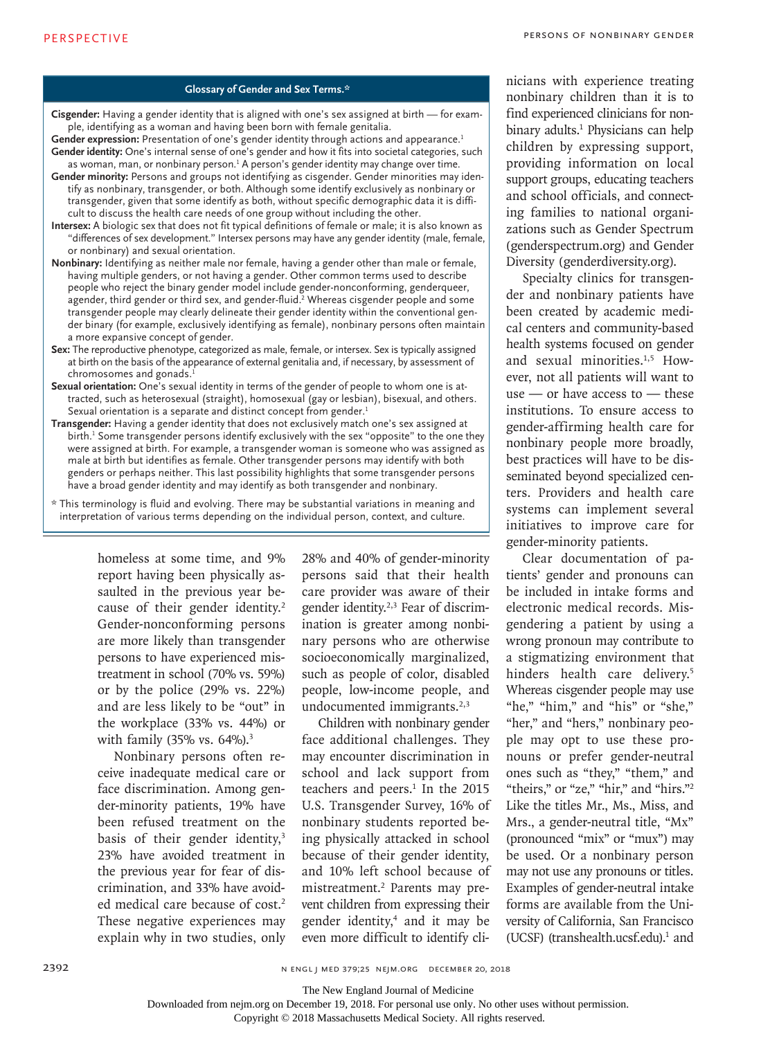## **Glossary of Gender and Sex Terms.\***

- **Cisgender:** Having a gender identity that is aligned with one's sex assigned at birth for example, identifying as a woman and having been born with female genitalia.
- Gender expression: Presentation of one's gender identity through actions and appearance.<sup>1</sup> **Gender identity:** One's internal sense of one's gender and how it fits into societal categories, such
- as woman, man, or nonbinary person. $1$  A person's gender identity may change over time. **Gender minority:** Persons and groups not identifying as cisgender. Gender minorities may identify as nonbinary, transgender, or both. Although some identify exclusively as nonbinary or transgender, given that some identify as both, without specific demographic data it is difficult to discuss the health care needs of one group without including the other.
- **Intersex:** A biologic sex that does not fit typical definitions of female or male; it is also known as "differences of sex development." Intersex persons may have any gender identity (male, female, or nonbinary) and sexual orientation.
- **Nonbinary:** Identifying as neither male nor female, having a gender other than male or female, having multiple genders, or not having a gender. Other common terms used to describe people who reject the binary gender model include gender-nonconforming, genderqueer, agender, third gender or third sex, and gender-fluid.<sup>2</sup> Whereas cisgender people and some transgender people may clearly delineate their gender identity within the conventional gender binary (for example, exclusively identifying as female), nonbinary persons often maintain a more expansive concept of gender.
- **Sex:** The reproductive phenotype, categorized as male, female, or intersex. Sex is typically assigned at birth on the basis of the appearance of external genitalia and, if necessary, by assessment of chromosomes and gonads.<sup>1</sup>
- **Sexual orientation:** One's sexual identity in terms of the gender of people to whom one is attracted, such as heterosexual (straight), homosexual (gay or lesbian), bisexual, and others. Sexual orientation is a separate and distinct concept from gender.<sup>1</sup>
- **Transgender:** Having a gender identity that does not exclusively match one's sex assigned at birth. $<sup>1</sup>$  Some transgender persons identify exclusively with the sex "opposite" to the one they</sup> were assigned at birth. For example, a transgender woman is someone who was assigned as male at birth but identifies as female. Other transgender persons may identify with both genders or perhaps neither. This last possibility highlights that some transgender persons have a broad gender identity and may identify as both transgender and nonbinary.
- \* This terminology is fluid and evolving. There may be substantial variations in meaning and interpretation of various terms depending on the individual person, context, and culture.

homeless at some time, and 9% report having been physically assaulted in the previous year because of their gender identity.<sup>2</sup> Gender-nonconforming persons are more likely than transgender persons to have experienced mistreatment in school (70% vs. 59%) or by the police (29% vs. 22%) and are less likely to be "out" in the workplace (33% vs. 44%) or with family  $(35\% \text{ vs. } 64\%)$ .<sup>3</sup>

Nonbinary persons often receive inadequate medical care or face discrimination. Among gender-minority patients, 19% have been refused treatment on the basis of their gender identity,<sup>3</sup> 23% have avoided treatment in the previous year for fear of discrimination, and 33% have avoided medical care because of cost.<sup>2</sup> These negative experiences may explain why in two studies, only

28% and 40% of gender-minority persons said that their health care provider was aware of their gender identity.<sup>2,3</sup> Fear of discrimination is greater among nonbinary persons who are otherwise socioeconomically marginalized, such as people of color, disabled people, low-income people, and undocumented immigrants.<sup>2,3</sup>

Children with nonbinary gender face additional challenges. They may encounter discrimination in school and lack support from teachers and peers. $1$  In the 2015 U.S. Transgender Survey, 16% of nonbinary students reported being physically attacked in school because of their gender identity, and 10% left school because of mistreatment.2 Parents may prevent children from expressing their gender identity,4 and it may be even more difficult to identify clinicians with experience treating nonbinary children than it is to find experienced clinicians for nonbinary adults.1 Physicians can help children by expressing support, providing information on local support groups, educating teachers and school officials, and connecting families to national organizations such as Gender Spectrum (genderspectrum.org) and Gender Diversity (genderdiversity.org).

Specialty clinics for transgender and nonbinary patients have been created by academic medical centers and community-based health systems focused on gender and sexual minorities.<sup>1,5</sup> However, not all patients will want to use — or have access to — these institutions. To ensure access to gender-affirming health care for nonbinary people more broadly, best practices will have to be disseminated beyond specialized centers. Providers and health care systems can implement several initiatives to improve care for gender-minority patients.

Clear documentation of patients' gender and pronouns can be included in intake forms and electronic medical records. Misgendering a patient by using a wrong pronoun may contribute to a stigmatizing environment that hinders health care delivery.<sup>5</sup> Whereas cisgender people may use "he," "him," and "his" or "she," "her," and "hers," nonbinary people may opt to use these pronouns or prefer gender-neutral ones such as "they," "them," and "theirs," or "ze," "hir," and "hirs."<sup>2</sup> Like the titles Mr., Ms., Miss, and Mrs., a gender-neutral title, "Mx" (pronounced "mix" or "mux") may be used. Or a nonbinary person may not use any pronouns or titles. Examples of gender-neutral intake forms are available from the University of California, San Francisco (UCSF) (transhealth.ucsf.edu). $1$  and

Copyright © 2018 Massachusetts Medical Society. All rights reserved.

The New England Journal of Medicine